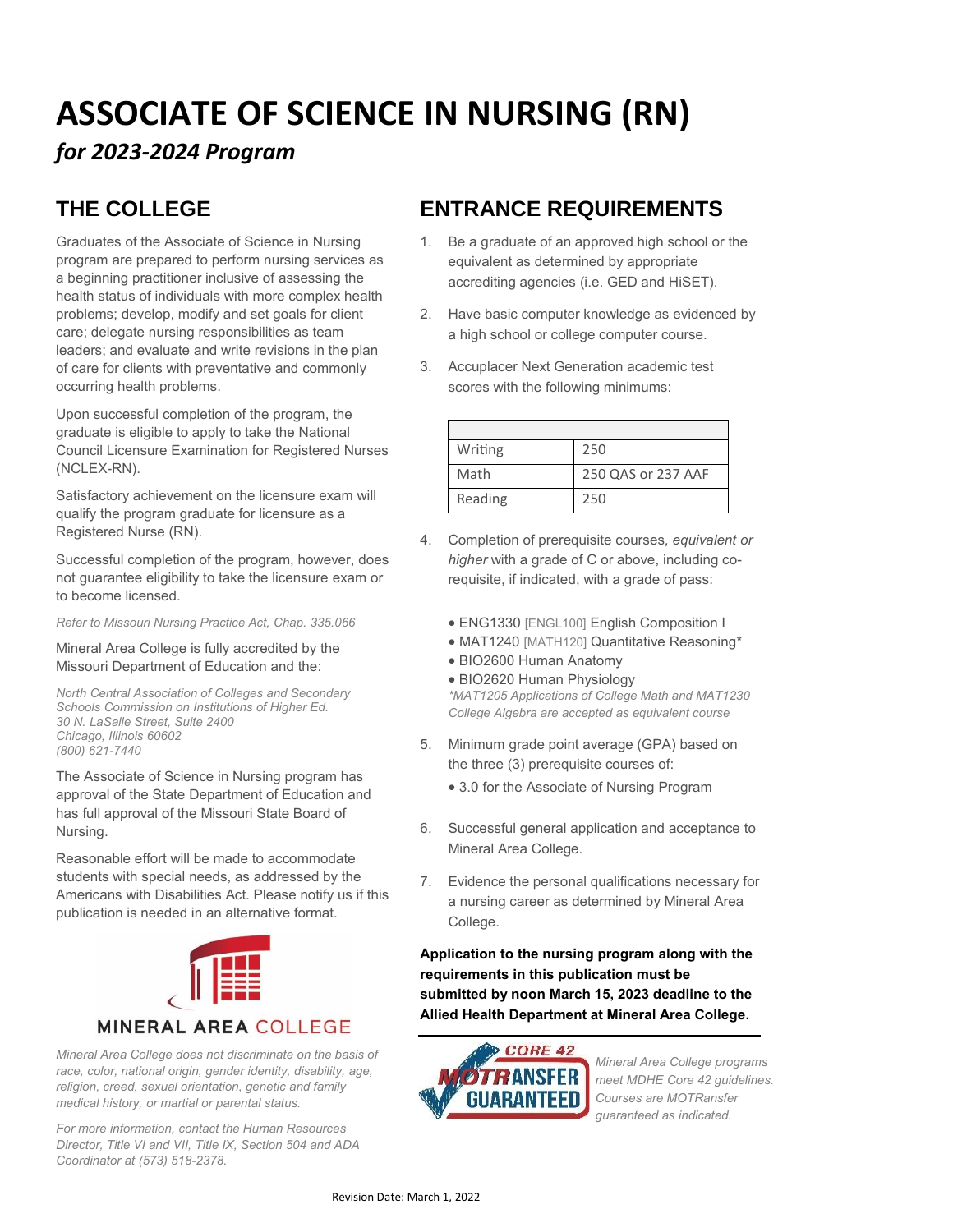# **ASSOCIATE OF SCIENCE IN NURSING (RN)**

## *for 2023-2024 Program*

# **THE COLLEGE**

Graduates of the Associate of Science in Nursing program are prepared to perform nursing services as a beginning practitioner inclusive of assessing the health status of individuals with more complex health problems; develop, modify and set goals for client care; delegate nursing responsibilities as team leaders; and evaluate and write revisions in the plan of care for clients with preventative and commonly occurring health problems.

Upon successful completion of the program, the graduate is eligible to apply to take the National Council Licensure Examination for Registered Nurses (NCLEX-RN).

Satisfactory achievement on the licensure exam will qualify the program graduate for licensure as a Registered Nurse (RN).

Successful completion of the program, however, does not guarantee eligibility to take the licensure exam or to become licensed.

*Refer to Missouri Nursing Practice Act, Chap. 335.066*

Mineral Area College is fully accredited by the Missouri Department of Education and the:

*North Central Association of Colleges and Secondary Schools Commission on Institutions of Higher Ed. 30 N. LaSalle Street, Suite 2400 Chicago, Illinois 60602 (800) 621-7440*

The Associate of Science in Nursing program has approval of the State Department of Education and has full approval of the Missouri State Board of Nursing.

Reasonable effort will be made to accommodate students with special needs, as addressed by the Americans with Disabilities Act. Please notify us if this publication is needed in an alternative format.



*Mineral Area College does not discriminate on the basis of race, color, national origin, gender identity, disability, age, religion, creed, sexual orientation, genetic and family medical history, or martial or parental status.*

*For more information, contact the Human Resources Director, Title VI and VII, Title IX, Section 504 and ADA Coordinator at (573) 518-2378.*

## **ENTRANCE REQUIREMENTS**

- 1. Be a graduate of an approved high school or the equivalent as determined by appropriate accrediting agencies (i.e. GED and HiSET).
- 2. Have basic computer knowledge as evidenced by a high school or college computer course.
- 3. Accuplacer Next Generation academic test scores with the following minimums:

| Writing | 250                |
|---------|--------------------|
| Math    | 250 QAS or 237 AAF |
| Reading | 250                |

- 4. Completion of prerequisite courses*, equivalent or higher* with a grade of C or above, including corequisite, if indicated, with a grade of pass:
	- ENG1330 [ENGL100] English Composition I
	- MAT1240 [MATH120] Quantitative Reasoning\*
	- BIO2600 Human Anatomy
	- BIO2620 Human Physiology

*\*MAT1205 Applications of College Math and MAT1230 College Algebra are accepted as equivalent course*

- 5. Minimum grade point average (GPA) based on the three (3) prerequisite courses of:
	- 3.0 for the Associate of Nursing Program
- 6. Successful general application and acceptance to Mineral Area College.
- 7. Evidence the personal qualifications necessary for a nursing career as determined by Mineral Area College.

**Application to the nursing program along with the requirements in this publication must be submitted by noon March 15, 2023 deadline to the Allied Health Department at Mineral Area College.**



*Mineral Area College programs meet MDHE Core 42 guidelines. Courses are MOTRansfer guaranteed as indicated.*